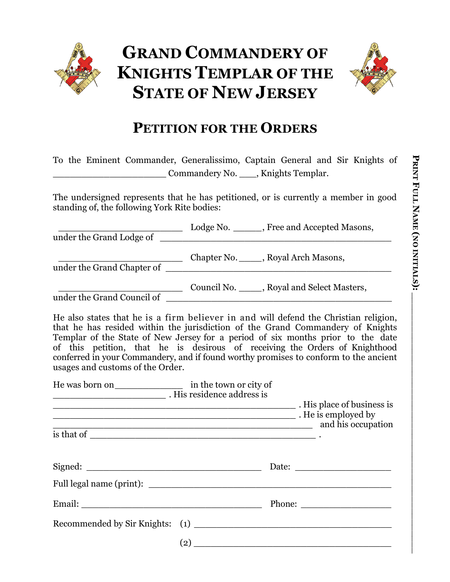



## **PETITION FOR THE ORDERS**

To the Eminent Commander, Generalissimo, Captain General and Sir Knights of \_\_\_\_\_\_\_\_\_\_\_\_\_\_\_\_\_\_\_\_ Commandery No. \_\_\_, Knights Templar.

The undersigned represents that he has petitioned, or is currently a member in good standing of, the following York Rite bodies:

| Chapter No. _____, Royal Arch Masons, under the Grand Chapter of                                                                                                                                                                                                                                                                                                                                                                                                     |  |
|----------------------------------------------------------------------------------------------------------------------------------------------------------------------------------------------------------------------------------------------------------------------------------------------------------------------------------------------------------------------------------------------------------------------------------------------------------------------|--|
| Council No. _____, Royal and Select Masters,                                                                                                                                                                                                                                                                                                                                                                                                                         |  |
| He also states that he is a firm believer in and will defend the Christian religion,<br>that he has resided within the jurisdiction of the Grand Commandery of Knights<br>Templar of the State of New Jersey for a period of six months prior to the date<br>of this petition, that he is desirous of receiving the Orders of Knighthood<br>conferred in your Commandery, and if found worthy promises to conform to the ancient<br>usages and customs of the Order. |  |
| Mis residence address is<br>This place of business is<br>example of the set of the set of the set of the set of the set of the set of the set of the set of the set of the set of the set of the set of the set of the set of the set of the set of the set of the set of the set of th<br>and his occupation                                                                                                                                                        |  |
| Full legal name (print):                                                                                                                                                                                                                                                                                                                                                                                                                                             |  |

Email: Thome:  $\blacksquare$ 

Recommended by Sir Knights: (1)

 $(2)$